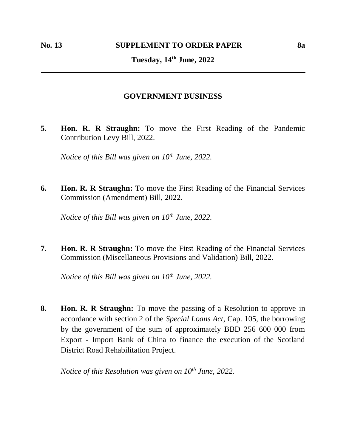## **GOVERNMENT BUSINESS**

**5. Hon. R. R Straughn:** To move the First Reading of the Pandemic Contribution Levy Bill, 2022.

*Notice of this Bill was given on 10th June, 2022.*

**6. Hon. R. R Straughn:** To move the First Reading of the Financial Services Commission (Amendment) Bill, 2022.

*Notice of this Bill was given on 10th June, 2022.*

**7. Hon. R. R Straughn:** To move the First Reading of the Financial Services Commission (Miscellaneous Provisions and Validation) Bill, 2022.

*Notice of this Bill was given on 10th June, 2022.*

**8. Hon. R. R Straughn:** To move the passing of a Resolution to approve in accordance with section 2 of the *Special Loans Act*, Cap. 105, the borrowing by the government of the sum of approximately BBD 256 600 000 from Export - Import Bank of China to finance the execution of the Scotland District Road Rehabilitation Project.

*Notice of this Resolution was given on 10th June, 2022.*